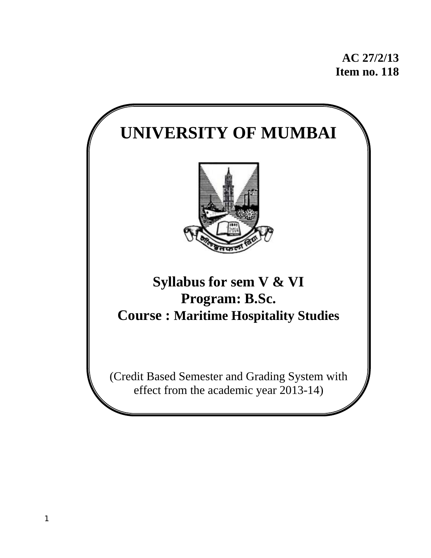**AC 27/2/13 Item no. 118** 

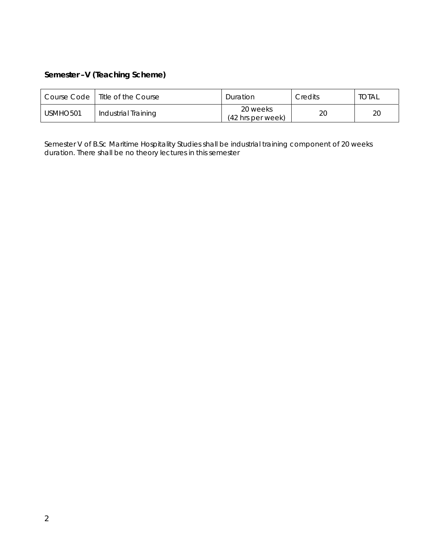# **Semester –V (Teaching Scheme)**

|                      | Course Code   Title of the Course | Duration                                | Credits | total |
|----------------------|-----------------------------------|-----------------------------------------|---------|-------|
| USMHO <sub>501</sub> | Industrial Training               | 20 weeks<br>$(42 \text{ hrs per week})$ | 20      | 20    |

Semester V of B.Sc Maritime Hospitality Studies shall be industrial training component of 20 weeks duration. There shall be no theory lectures in this semester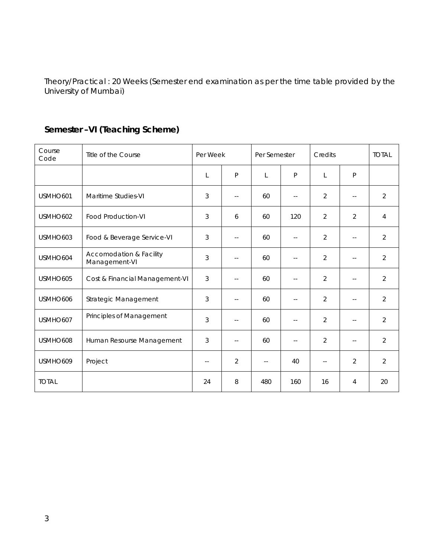Theory/Practical : 20 Weeks (Semester end examination as per the time table provided by the University of Mumbai)

| Course<br>Code | Title of the Course                      | Per Week                 |                            | Per Semester             |                            | Credits                    |                          | <b>TOTAL</b>   |
|----------------|------------------------------------------|--------------------------|----------------------------|--------------------------|----------------------------|----------------------------|--------------------------|----------------|
|                |                                          | L                        | P                          | L                        | $\mathsf{P}$               | L                          | P                        |                |
| USMHO601       | Maritime Studies-VI                      | 3                        | $\overline{a}$             | 60                       | $- -$                      | $\overline{2}$             | $-1$                     | $\overline{2}$ |
| USMHO602       | Food Production-VI                       | 3                        | 6                          | 60                       | 120                        | $\overline{2}$             | $\overline{2}$           | 4              |
| USMHO603       | Food & Beverage Service-VI               | 3                        | $\sim$ $\sim$              | 60                       | $\overline{\phantom{a}}$ . | 2                          | $-$                      | $\overline{2}$ |
| USMHO604       | Accomodation & Facility<br>Management-VI | 3                        | $\overline{\phantom{a}}$   | 60                       | $\sim$ $-$                 | $\overline{2}$             | $- -$                    | $\overline{2}$ |
| USMHO605       | Cost & Financial Management-VI           | 3                        | $\overline{a}$             | 60                       | $\sim$ $-$                 | $\overline{2}$             | $- -$                    | $\overline{2}$ |
| USMHO606       | Strategic Management                     | 3                        | $-$                        | 60                       | $\sim$ $-$                 | $\overline{2}$             | $- -$                    | $\overline{2}$ |
| USMHO607       | Principles of Management                 | 3                        | $\sim$ $\sim$              | 60                       | $\sim$ $\sim$              | $\overline{2}$             | $\overline{a}$           | $\overline{2}$ |
| USMHO608       | Human Resourse Management                | 3                        | $\overline{\phantom{a}}$ . | 60                       | $\sim$ $\sim$              | $\overline{2}$             | $\overline{\phantom{a}}$ | $\overline{2}$ |
| USMHO609       | Project                                  | $\overline{\phantom{a}}$ | $\overline{2}$             | $\overline{\phantom{a}}$ | 40                         | $\overline{\phantom{a}}$ . | $\overline{2}$           | $\overline{2}$ |
| <b>TOTAL</b>   |                                          | 24                       | 8                          | 480                      | 160                        | 16                         | 4                        | 20             |

# **Semester –VI (Teaching Scheme)**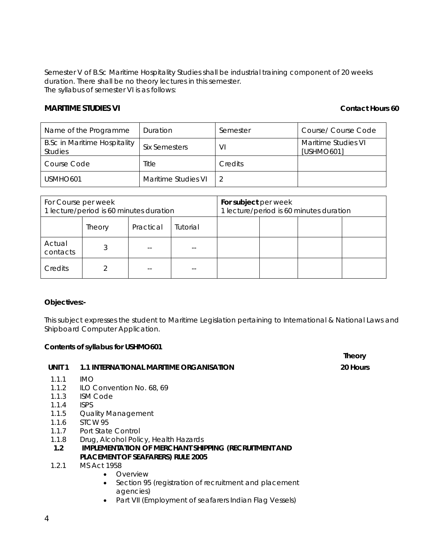Semester V of B.Sc Maritime Hospitality Studies shall be industrial training component of 20 weeks duration. There shall be no theory lectures in this semester. The syllabus of semester VI is as follows:

### **MARITIME STUDIES VI CONTACT STUDIES** VI **CONTACT STUDIES** ON **CONTACT STUDIES** ON **CONTACT STUDIES** ON **CONTACT STUDIES**

**Theory**

| Name of the Programme                                 | Duration             | Semester | Course/ Course Code               |
|-------------------------------------------------------|----------------------|----------|-----------------------------------|
| <b>B.Sc in Maritime Hospitality</b><br><b>Studies</b> | <b>Six Semesters</b> | VI       | Maritime Studies VI<br>[USHMO601] |
| Course Code                                           | Title                | Credits  |                                   |
| USMHO <sub>601</sub>                                  | Maritime Studies VI  |          |                                   |

| For Course per week<br>1 lecture/period is 60 minutes duration |        |           | For subject per week<br>1 lecture/period is 60 minutes duration |  |  |  |  |
|----------------------------------------------------------------|--------|-----------|-----------------------------------------------------------------|--|--|--|--|
|                                                                | Theory | Practical | Tutorial                                                        |  |  |  |  |
| Actual<br>contacts                                             |        |           |                                                                 |  |  |  |  |
| Credits                                                        |        |           |                                                                 |  |  |  |  |

### **Objectives:-**

This subject expresses the student to Maritime Legislation pertaining to International & National Laws and Shipboard Computer Application.

#### **Contents of syllabus for USHMO601**

| UNIT <sub>1</sub> | 1.1 INTERNATIONAL MARITIME ORGANISATION                             | 20 Hours |
|-------------------|---------------------------------------------------------------------|----------|
| 1.1.1             | IMO.                                                                |          |
|                   | 1.1.2 ILO Convention No. 68, 69                                     |          |
| 1.1.3             | <b>ISM Code</b>                                                     |          |
| 1.1.4             | <b>ISPS</b>                                                         |          |
| 1.1.5             | Quality Management                                                  |          |
| 1.1.6             | STCW 95                                                             |          |
|                   | 1.1.7 Port State Control                                            |          |
| 1.1.8             | Drug, Alcohol Policy, Health Hazards                                |          |
| 1.2               | IMPLEMENTATION OF MERCHANT SHIPPING (RECRUITMENT AND                |          |
|                   | <b>PLACEMENT OF SEAFARERS) RULE 2005</b>                            |          |
| 1.2.1             | MS Act 1958                                                         |          |
|                   | Overview<br>$\bullet$                                               |          |
|                   | Section 95 (registration of recruitment and placement<br>$\bullet$  |          |
|                   | agencies)<br>Part VII (Employment of seafarers Indian Flag Vessels) |          |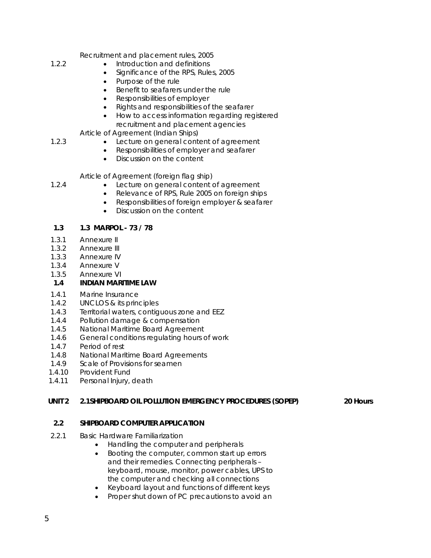Recruitment and placement rules, 2005

- Introduction and definitions
- Significance of the RPS, Rules, 2005
- Purpose of the rule
- Benefit to seafarers under the rule
- Responsibilities of employer
- Rights and responsibilities of the seafarer
- How to access information regarding registered recruitment and placement agencies

Article of Agreement (Indian Ships)

- Lecture on general content of agreement
- Responsibilities of employer and seafarer
- Discussion on the content

Article of Agreement (foreign flag ship)

1.2.4

1.2.3

1.2.2

- Lecture on general content of agreement • Relevance of RPS, Rule 2005 on foreign ships
- Responsibilities of foreign employer & seafarer
- Discussion on the content

#### **1.3 1.3 MARPOL - 73 / 78**

- 1.3.1 Annexure II
- 1.3.2 Annexure III
- 1.3.3 Annexure IV
- 1.3.4 Annexure V
- 1.3.5 Annexure VI

### **1.4 INDIAN MARITIME LAW**

- 1.4.1 Marine Insurance
- 1.4.2 UNCLOS & its principles
- 1.4.3 Territorial waters, contiguous zone and EEZ
- 1.4.4 Pollution damage & compensation
- 1.4.5 National Maritime Board Agreement
- 1.4.6 General conditions regulating hours of work
- 1.4.7 Period of rest
- 1.4.8 National Maritime Board Agreements
- 1.4.9 Scale of Provisions for seamen
- 1.4.10 Provident Fund
- 1.4.11 Personal Injury, death

### **UNIT 2 2.1SHIPBOARD OIL POLLUTION EMERGENCY PROCEDURES (SOPEP) 20 Hours**

# **2.2 SHIPBOARD COMPUTER APPLICATION**

- 2.2.1 Basic Hardware Familiarization
	- Handling the computer and peripherals
	- Booting the computer, common start up errors and their remedies. Connecting peripherals – keyboard, mouse, monitor, power cables, UPS to the computer and checking all connections
	- Keyboard layout and functions of different keys
	- Proper shut down of PC precautions to avoid an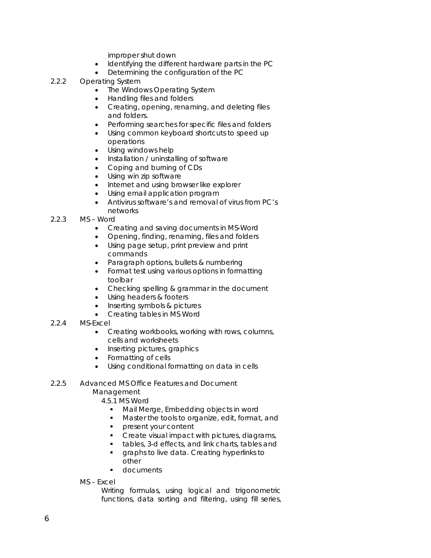improper shut down

- Identifying the different hardware parts in the PC
- Determining the configuration of the PC
- 2.2.2 Operating System
	- The Windows Operating System
	- Handling files and folders
	- Creating, opening, renaming, and deleting files and folders.
	- Performing searches for specific files and folders
	- Using common keyboard shortcuts to speed up
	- operations
	- Using windows help
	- Installation / uninstalling of software
	- Coping and burning of CDs
	- Using win zip software
	- Internet and using browser like explorer
	- Using email application program
	- Antivirus software's and removal of virus from PC's networks
- 2.2.3 MS – Word
	- Creating and saving documents in MS-Word
	- Opening, finding, renaming, files and folders
	- Using page setup, print preview and print commands
	- Paragraph options, bullets & numbering
	- Format test using various options in formatting toolbar
	- Checking spelling & grammar in the document
	- Using headers & footers
	- Inserting symbols & pictures
	- Creating tables in MS Word
- 2.2.4 MS-Excel
	- Creating workbooks, working with rows, columns, cells and worksheets
	- Inserting pictures, graphics
	- Formatting of cells
	- Using conditional formatting on data in cells
- 2.2.5 Advanced MS Office Features and Document
	- Management
		- 4.5.1 MS Word
			- **Mail Merge, Embedding objects in word**
			- **Master the tools to organize, edit, format, and**
			- **Paragement your content**
			- Create visual impact with pictures, diagrams,
			- tables, 3-d effects, and link charts, tables and **graphs to live data. Creating hyperlinks to** other
			- **documents**
	- MS Excel

Writing formulas, using logical and trigonometric functions, data sorting and filtering, using fill series,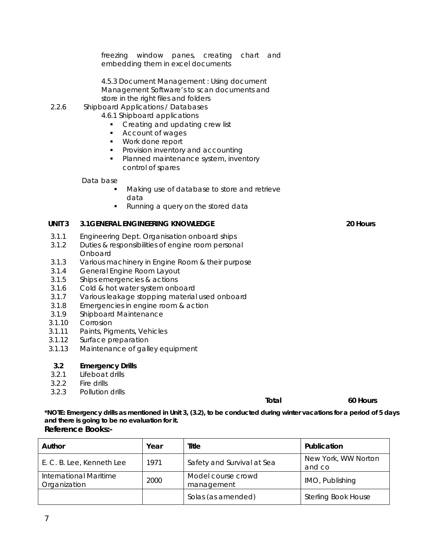freezing window panes, creating chart and embedding them in excel documents

4.5.3 Document Management : Using document Management Software's to scan documents and store in the right files and folders

#### 2.2.6 Shipboard Applications / Databases

- 4.6.1 Shipboard applications
	- Creating and updating crew list
	- **Account of wages**
	- Work done report
	- **Provision inventory and accounting**
	- **Planned maintenance system, inventory** control of spares

#### Data base

- Making use of database to store and retrieve data
- Running a query on the stored data

#### **UNIT 3 3.1GENERAL ENGINEERING KNOWLEDGE 20 Hours**

- 3.1.1 Engineering Dept. Organisation onboard ships
- 3.1.2 Duties & responsibilities of engine room personal **Onboard**
- 3.1.3 Various machinery in Engine Room & their purpose
- 3.1.4 General Engine Room Layout
- 3.1.5 Ships emergencies & actions
- 3.1.6 Cold & hot water system onboard
- 3.1.7 Various leakage stopping material used onboard
- 3.1.8 Emergencies in engine room & action
- 3.1.9 Shipboard Maintenance
- 3.1.10 Corrosion
- 3.1.11 Paints, Pigments, Vehicles
- 3.1.12 Surface preparation
- 3.1.13 Maintenance of galley equipment

#### **3.2 Emergency Drills**

- 3.2.1 Lifeboat drills
- 3.2.2 Fire drills
- 3.2.3 Pollution drills

#### **Total 60 Hours 60 Hours**

**\*NOTE: Emergency drills as mentioned in Unit 3, (3.2), to be conducted during winter vacations for a period of 5 days and there is going to be no evaluation for it. Reference Books:-** 

| Author                                 | Year | Title                            | Publication                   |
|----------------------------------------|------|----------------------------------|-------------------------------|
| E. C. B. Lee, Kenneth Lee              | 1971 | Safety and Survival at Sea       | New York, WW Norton<br>and co |
| International Maritime<br>Organization | 2000 | Model course crowd<br>management | IMO, Publishing               |
|                                        |      | Solas (as amended)               | <b>Sterling Book House</b>    |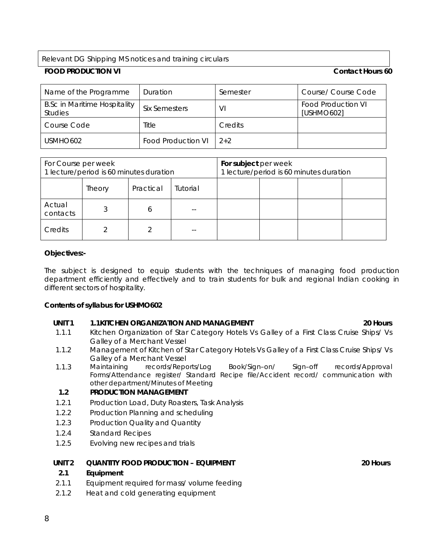Relevant DG Shipping MS notices and training circulars

## **FOOD PRODUCTION VI Contact Hours 60**

| Name of the Programme                                 | Duration             | Semester       | Course/ Course Code              |
|-------------------------------------------------------|----------------------|----------------|----------------------------------|
| <b>B.Sc in Maritime Hospitality</b><br><b>Studies</b> | <b>Six Semesters</b> | VI             | Food Production VI<br>[USHMO602] |
| Course Code                                           | Title                | <b>Credits</b> |                                  |
| USMHO602                                              | Food Production VI   | $2+2$          |                                  |

| For Course per week<br>1 lecture/period is 60 minutes duration |                                 |   | For subject per week<br>1 lecture/period is 60 minutes duration |  |  |  |  |
|----------------------------------------------------------------|---------------------------------|---|-----------------------------------------------------------------|--|--|--|--|
|                                                                | Practical<br>Tutorial<br>Theory |   |                                                                 |  |  |  |  |
| Actual<br>contacts                                             |                                 | 6 |                                                                 |  |  |  |  |
| Credits                                                        |                                 |   |                                                                 |  |  |  |  |

#### **Objectives:-**

The subject is designed to equip students with the techniques of managing food production department efficiently and effectively and to train students for bulk and regional Indian cooking in different sectors of hospitality.

#### **Contents of syllabus for USHMO602**

### **UNIT 1 1.1KITCHEN ORGANIZATION AND MANAGEMENT 20 Hours**

- 1.1.1 Kitchen Organization of Star Category Hotels Vs Galley of a First Class Cruise Ships/ Vs Galley of a Merchant Vessel
- 1.1.2 Management of Kitchen of Star Category Hotels Vs Galley of a First Class Cruise Ships/ Vs Galley of a Merchant Vessel
- 1.1.3 Maintaining records/Reports/Log Book/Sign–on/ Sign–off records/Approval Forms/Attendance register/ Standard Recipe file/Accident record/ communication with other department/Minutes of Meeting

### **1.2 PRODUCTION MANAGEMENT**

- 1.2.1 Production Load, Duty Roasters, Task Analysis
- 1.2.2 Production Planning and scheduling
- 1.2.3 Production Quality and Quantity
- 1.2.4 Standard Recipes
- 1.2.5 Evolving new recipes and trials

#### UNIT 2 QUANTITY FOOD PRODUCTION – EQUIPMENT **20 Hours** 20 Hours

### **2.1 Equipment**

- 2.1.1 Equipment required for mass/ volume feeding
- 2.1.2 Heat and cold generating equipment

#### 8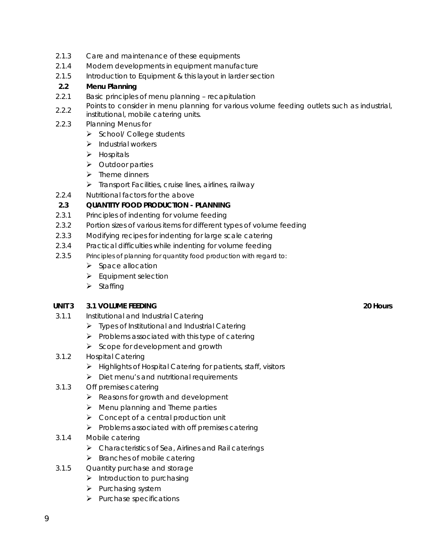- 2.1.3 Care and maintenance of these equipments
- 2.1.4 Modern developments in equipment manufacture
- 2.1.5 Introduction to Equipment & this layout in larder section

### **2.2 Menu Planning**

- 2.2.1 Basic principles of menu planning recapitulation
- 2.2.2 Points to consider in menu planning for various volume feeding outlets such as industrial,
- institutional, mobile catering units.
- 2.2.3 Planning Menus for
	- $\triangleright$  School/ College students
	- $\blacktriangleright$  Industrial workers
	- $\triangleright$  Hospitals
	- ¾ Outdoor parties
	- $\blacktriangleright$  Theme dinners
	- $\triangleright$  Transport Facilities, cruise lines, airlines, railway
- 2.2.4 Nutritional factors for the above

### **2.3 QUANTITY FOOD PRODUCTION - PLANNING**

- 2.3.1 Principles of indenting for volume feeding
- 2.3.2 Portion sizes of various items for different types of volume feeding
- 2.3.3 Modifying recipes for indenting for large scale catering
- 2.3.4 Practical difficulties while indenting for volume feeding
- 2.3.5 Principles of planning for quantity food production with regard to:
	- $\triangleright$  Space allocation
	- $\blacktriangleright$  Equipment selection
	- $\triangleright$  Staffing

### **UNIT 3 3.1 VOLUME FEEDING 20 Hours**

- 3.1.1 Institutional and Industrial Catering
	- $\triangleright$  Types of Institutional and Industrial Catering
	- $\triangleright$  Problems associated with this type of catering
	- $\triangleright$  Scope for development and growth
- 3.1.2 Hospital Catering
	- ¾ Highlights of Hospital Catering for patients, staff, visitors
	- $\triangleright$  Diet menu's and nutritional requirements
- 3.1.3 Off premises catering
	- $\triangleright$  Reasons for growth and development
	- $\triangleright$  Menu planning and Theme parties
	- $\triangleright$  Concept of a central production unit
	- $\triangleright$  Problems associated with off premises catering
- 3.1.4 Mobile catering
	- $\triangleright$  Characteristics of Sea, Airlines and Rail caterings
	- $\triangleright$  Branches of mobile catering
- 3.1.5 Quantity purchase and storage
	- $\blacktriangleright$  Introduction to purchasing
	- $\blacktriangleright$  Purchasing system
	- $\blacktriangleright$  Purchase specifications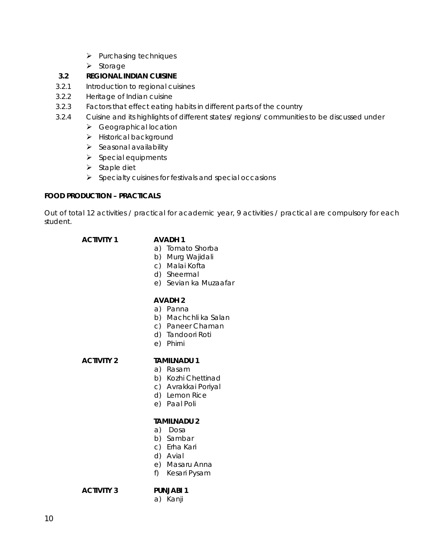- $\blacktriangleright$  Purchasing techniques
- ¾ Storage

## **3.2 REGIONAL INDIAN CUISINE**

- 3.2.1 Introduction to regional cuisines
- 3.2.2 Heritage of Indian cuisine
- 3.2.3 Factors that effect eating habits in different parts of the country
- 3.2.4 Cuisine and its highlights of different states/ regions/ communities to be discussed under
	- $\triangleright$  Geographical location
	- $\blacktriangleright$  Historical background
	- $\triangleright$  Seasonal availability
	- $\triangleright$  Special equipments
	- $\triangleright$  Staple diet
	- $\triangleright$  Specialty cuisines for festivals and special occasions

### **FOOD PRODUCTION – PRACTICALS**

Out of total 12 activities / practical for academic year, 9 activities / practical are compulsory for each student.

# **ACTIVITY 1 AVADH 1**

- a) Tomato Shorba
- b) Murg Wajidali
- c) Malai Kofta
- d) Sheermal
- e) Sevian ka Muzaafar

#### **AVADH 2**

- a) Panna
- b) Machchli ka Salan
- c) Paneer Chaman
- d) Tandoori Roti
- e) Phirni

# **ACTIVITY 2 TAMILNADU 1**

- a) Rasam
- b) Kozhi Chettinad
- c) Avrakkai Poriyal
- d) Lemon Rice
- e) Paal Poli

#### **TAMILNADU 2**

- a) Dosa
- b) Sambar
- c) Erha Kari
- d) Avial
- e) Masaru Anna
- f) Kesari Pysam

**ACTIVITY 3 PUNJABI 1** 

a) Kanji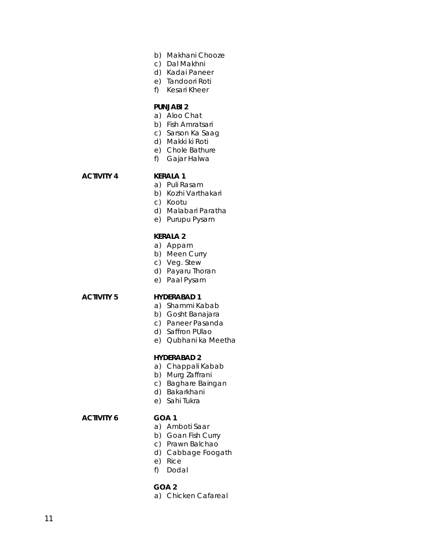- b) Makhani Chooze
- c) Dal Makhni
- d) Kadai Paneer
- e) Tandoori Roti
- f) Kesari Kheer

#### **PUNJABI 2**

- a) Aloo Chat
- b) Fish Amratsari
- c) Sarson Ka Saag
- d) Makki ki Roti
- e) Chole Bathure
- f) Gajar Halwa

# **ACTIVITY 4 KERALA 1**

- a) Puli Rasam
- b) Kozhi Varthakari
- c) Kootu
- d) Malabari Paratha
- e) Purupu Pysam

#### **KERALA 2**

- a) Appam
- b) Meen Curry
- c) Veg. Stew
- d) Payaru Thoran
- e) Paal Pysam

#### **ACTIVITY 5 HYDERABAD 1**

- a) Shammi Kabab
- b) Gosht Banajara
- c) Paneer Pasanda
- d) Saffron PUlao
- e) Qubhani ka Meetha

#### **HYDERABAD 2**

- a) Chappali Kabab
- b) Murg Zaffrani
- c) Baghare Baingan
- d) Bakarkhani
- e) Sahi Tukra

#### **ACTIVITY 6 GOA 1**

- a) Amboti Saar
- b) Goan Fish Curry
- c) Prawn Balchao
- d) Cabbage Foogath
- e) Rice
- f) Dodal

#### **GOA 2**

a) Chicken Cafareal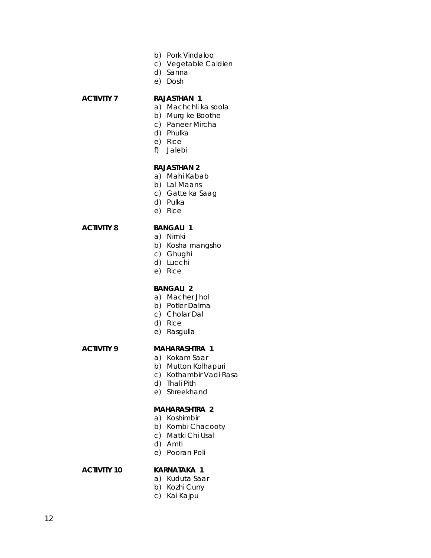- b) Pork Vindaloo
- c) Vegetable Caldien
- d) Sanna
- e) Dosh

#### **ACTIVITY 7 RAJASTHAN 1**

- a) Machchli ka soola
- b) Murg ke Boothe
- c) Paneer Mircha
- d) Phulka
- e) Rice
- f) Jalebi

#### **RAJASTHAN 2**

- a) Mahi Kabab
- b) Lal Maans
- c) Gatte ka Saag
- d) Pulka
- e) Rice

#### **ACTIVITY 8 BANGALI 1**

- a) Nimki
- b) Kosha mangsho
- c) Ghughi
- d) Lucchi
- e) Rice

#### **BANGALI 2**

- a) Macher Jhol
- b) Potler Dalma
- c) Cholar Dal
- d) Rice
- e) Rasgulla

# **ACTIVITY 9 MAHARASHTRA 1**

- a) Kokam Saar
- b) Mutton Kolhapuri
- c) Kothambir Vadi Rasa
- d) Thali Pith
- e) Shreekhand

#### **MAHARASHTRA 2**

- a) Koshimbir
- b) Kombi Chacooty
- c) Matki Chi Usal
- d) Amti
- e) Pooran Poli

# **ACTIVITY 10 KARNATAKA 1**

- a) Kuduta Saar
- b) Kozhi Curry
- c) Kai Kajpu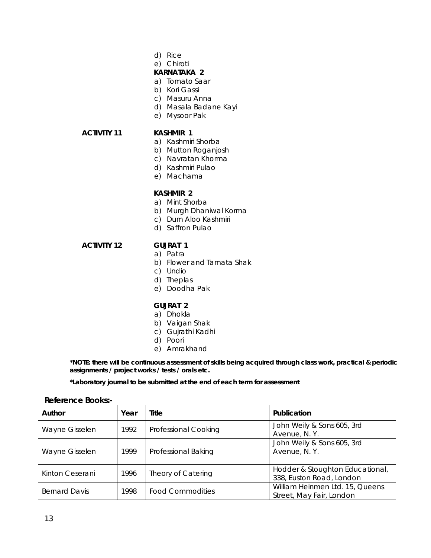- d) Rice
- e) Chiroti

#### **KARNATAKA 2**

- a) Tomato Saar
- b) Kori Gassi
- c) Masuru Anna
- d) Masala Badane Kayi
- e) Mysoor Pak

#### **ACTIVITY 11 KASHMIR 1**

- a) Kashmiri Shorba
- b) Mutton Roganjosh
- c) Navratan Khorma
- d) Kashmiri Pulao
- e) Machama

#### **KASHMIR 2**

- a) Mint Shorba
- b) Murgh Dhaniwal Korma
- c) Dum Aloo Kashmiri
- d) Saffron Pulao

### **ACTIVITY 12 GUJRAT 1**

- a) Patra
- b) Flower and Tamata Shak
- c) Undio
- d) Theplas
- e) Doodha Pak

#### **GUJRAT 2**

- a) Dhokla
- b) Vaigan Shak
- c) Gujrathi Kadhi
- d) Poori
- e) Amrakhand

**\*NOTE: there will be continuous assessment of skills being acquired through class work, practical & periodic assignments / project works / tests / orals etc.** 

**\*Laboratory journal to be submitted at the end of each term for assessment** 

#### **Reference Books:-**

| Author               | Year | Title                   | Publication                                                 |
|----------------------|------|-------------------------|-------------------------------------------------------------|
| Wayne Gisselen       | 1992 | Professional Cooking    | John Weily & Sons 605, 3rd<br>Avenue, N.Y.                  |
| Wayne Gisselen       | 1999 | Professional Baking     | John Weily & Sons 605, 3rd<br>Avenue, N.Y.                  |
| Kinton Ceserani      | 1996 | Theory of Catering      | Hodder & Stoughton Educational,<br>338, Euston Road, London |
| <b>Bernard Davis</b> | 1998 | <b>Food Commodities</b> | William Heinmen Ltd. 15, Queens<br>Street, May Fair, London |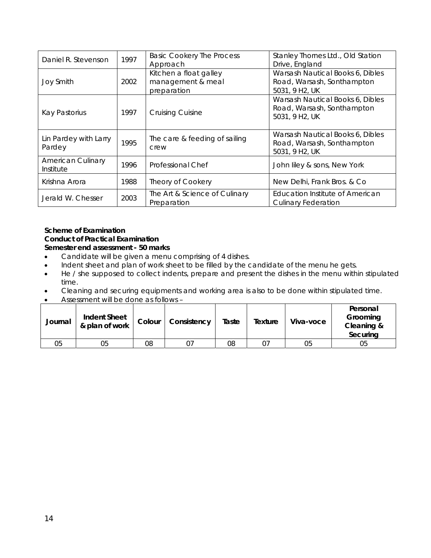| Daniel R. Stevenson                   | 1997 | <b>Basic Cookery The Process</b><br>Approach               | Stanley Thornes Ltd., Old Station<br>Drive, England                              |
|---------------------------------------|------|------------------------------------------------------------|----------------------------------------------------------------------------------|
| <b>Joy Smith</b>                      | 2002 | Kitchen a float galley<br>management & meal<br>preparation | Warsash Nautical Books 6, Dibles<br>Road, Warsash, Sonthampton<br>5031, 9 H2, UK |
| Kay Pastorius                         | 1997 | Cruising Cuisine                                           | Warsash Nautical Books 6, Dibles<br>Road, Warsash, Sonthampton<br>5031, 9 H2, UK |
| Lin Pardey with Larry<br>Pardey       | 1995 | The care & feeding of sailing<br>crew                      | Warsash Nautical Books 6, Dibles<br>Road, Warsash, Sonthampton<br>5031, 9 H2, UK |
| <b>American Culinary</b><br>Institute | 1996 | Professional Chef                                          | John liley & sons, New York                                                      |
| Krishna Arora                         | 1988 | <b>Theory of Cookery</b>                                   | New Delhi, Frank Bros. & Co.                                                     |
| Jerald W. Chesser                     | 2003 | The Art & Science of Culinary<br>Preparation               | Education Institute of American<br><b>Culinary Federation</b>                    |

#### **Scheme of Examination Conduct of Practical Examination Semester end assessment - 50 marks**

- Candidate will be given a menu comprising of 4 dishes.
- Indent sheet and plan of work sheet to be filled by the candidate of the menu he gets.
- He / she supposed to collect indents, prepare and present the dishes in the menu within stipulated time.
- Cleaning and securing equipments and working area is also to be done within stipulated time.
- Assessment will be done as follows –

| Journal | <b>Indent Sheet</b><br>& plan of work | Colour | Consistency | Taste | Texture | Viva-voce | Personal<br>Grooming<br>Cleaning &<br>Securing |
|---------|---------------------------------------|--------|-------------|-------|---------|-----------|------------------------------------------------|
| 05      | 05                                    | 08     |             | 08    |         | 05        | 05                                             |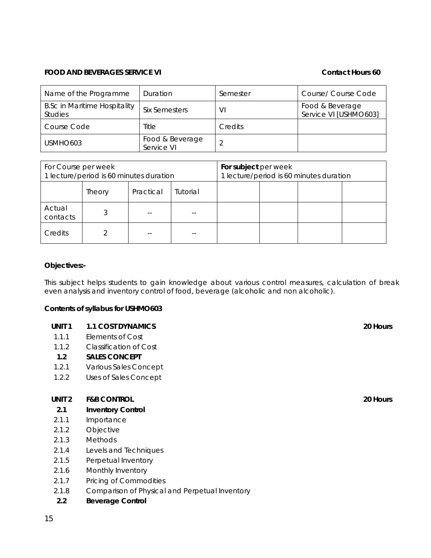#### **FOOD AND BEVERAGES SERVICE VI CONTACT AND SERVICE VI**

| Name of the Programme                                 | Duration                      | Semester | Course/ Course Code                      |
|-------------------------------------------------------|-------------------------------|----------|------------------------------------------|
| <b>B.Sc in Maritime Hospitality</b><br><b>Studies</b> | Six Semesters                 | VI       | Food & Beverage<br>Service VI [USHMO603] |
| Course Code                                           | Title                         | Credits  |                                          |
| USMHO <sub>603</sub>                                  | Food & Beverage<br>Service VI |          |                                          |

| For Course per week<br>1 lecture/period is 60 minutes duration |               |           | For subject per week | 1 lecture/period is 60 minutes duration |  |  |
|----------------------------------------------------------------|---------------|-----------|----------------------|-----------------------------------------|--|--|
|                                                                | <b>Theory</b> | Practical | Tutorial             |                                         |  |  |
| Actual<br>contacts                                             |               |           |                      |                                         |  |  |
| Credits                                                        |               |           |                      |                                         |  |  |

#### **Objectives:-**

This subject helps students to gain knowledge about various control measures, calculation of break even analysis and inventory control of food, beverage (alcoholic and non alcoholic).

#### **Contents of syllabus for USHMO603**

| UNIT <sub>1</sub> | <b>1.1 COST DYNAMICS</b> | 20 Hours |
|-------------------|--------------------------|----------|
|                   |                          |          |

- 1.1.1 Elements of Cost
- 1.1.2 Classification of Cost

#### **1.2 SALES CONCEPT**

- 1.2.1 Various Sales Concept
- 1.2.2 Uses of Sales Concept

#### **UNIT 2 F&B CONTROL 20 Hours**

#### **2.1 Inventory Control**

- 2.1.1 Importance
- 2.1.2 Objective
- 2.1.3 Methods
- 2.1.4 Levels and Techniques
- 2.1.5 Perpetual Inventory
- 2.1.6 Monthly Inventory
- 2.1.7 Pricing of Commodities
- 2.1.8 Comparison of Physical and Perpetual Inventory
- **2.2 Beverage Control**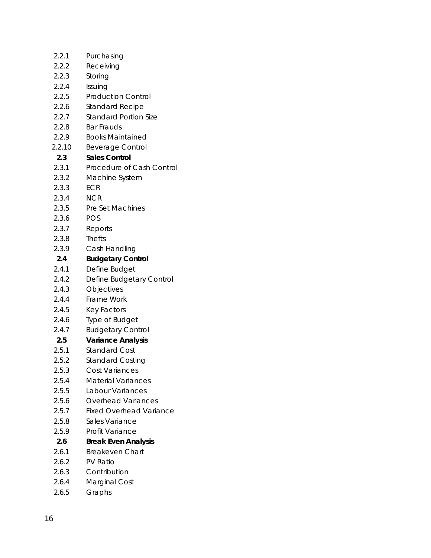| 2.2.1            | Purchasing                     |
|------------------|--------------------------------|
| 2.2.2            | Receiving                      |
| 2.2.3            | Storing                        |
| 2.2.4            | Issuing                        |
| 2.2.5            | <b>Production Control</b>      |
| 2.2.6            | <b>Standard Recipe</b>         |
| 2.2.7            | <b>Standard Portion Size</b>   |
| 2.2.8            | <b>Bar Frauds</b>              |
| 2.2.9            | <b>Books Maintained</b>        |
| 2.2.10           | <b>Beverage Control</b>        |
| 2.3              | <b>Sales Control</b>           |
| 2.3.1            | Procedure of Cash Control      |
| 2.3.2            | Machine System                 |
| 2.3.3            | <b>ECR</b>                     |
| 2.3.4            | <b>NCR</b>                     |
| 2.3.5            | Pre Set Machines               |
| 2.3.6            | <b>POS</b>                     |
| 2.3.7            | Reports                        |
| 2.3.8            | <b>Thefts</b>                  |
| 2.3.9            | Cash Handling                  |
| $2.4\phantom{0}$ | <b>Budgetary Control</b>       |
| 2.4.1            | Define Budget                  |
| 2.4.2            | Define Budgetary Control       |
| 2.4.3            | Objectives                     |
| 2.4.4            | Frame Work                     |
| 2.4.5            | Key Factors                    |
| 2.4.6            | Type of Budget                 |
| 2.4.7            | <b>Budgetary Control</b>       |
| 2.5              | <b>Variance Analysis</b>       |
| 2.5.1            | <b>Standard Cost</b>           |
| 2.5.2            | <b>Standard Costing</b>        |
| 2.5.3            | Cost Variances                 |
| 2.5.4            | <b>Material Variances</b>      |
| 2.5.5            | Labour Variances               |
| 2.5.6            | Overhead Variances             |
| 2.5.7            | <b>Fixed Overhead Variance</b> |
| 2.5.8            | Sales Variance                 |
| 2.5.9            | Profit Variance                |
| 2.6              | <b>Break Even Analysis</b>     |
| 2.6.1            | <b>Breakeven Chart</b>         |
| 2.6.2            | <b>PV Ratio</b>                |
| 2.6.3            | Contribution                   |
| 2.6.4            | Marginal Cost                  |
| 2.6.5            | Graphs                         |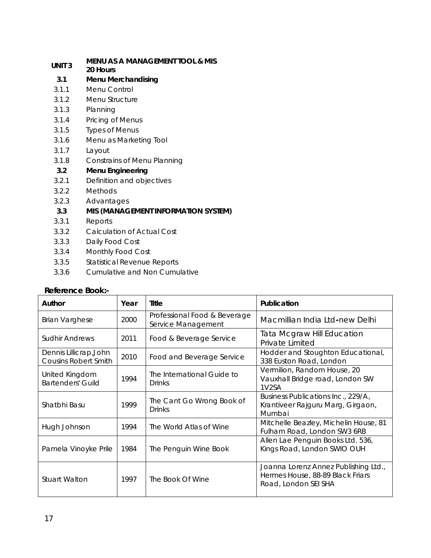# **UNIT 3 MENU AS A MANAGEMENT TOOL & MIS**

**20 Hours** 

- **3.1 Menu Merchandising**
- 3.1.1 Menu Control
- 3.1.2 Menu Structure
- 3.1.3 Planning
- 3.1.4 Pricing of Menus
- 3.1.5 Types of Menus
- 3.1.6 Menu as Marketing Tool
- 3.1.7 Layout
- 3.1.8 Constrains of Menu Planning

## **3.2 Menu Engineering**

- 3.2.1 Definition and objectives
- 3.2.2 Methods
- 3.2.3 Advantages

## **3.3 MIS (MANAGEMENT INFORMATION SYSTEM)**

- 3.3.1 Reports
- 3.3.2 Calculation of Actual Cost
- 3.3.3 Daily Food Cost
- 3.3.4 Monthly Food Cost
- 3.3.5 Statistical Revenue Reports
- 3.3.6 Cumulative and Non Cumulative

### **Reference Book:-**

| Author                                                | Year                                                               | Title                                                            | Publication                                                                                      |
|-------------------------------------------------------|--------------------------------------------------------------------|------------------------------------------------------------------|--------------------------------------------------------------------------------------------------|
| <b>Brian Varghese</b>                                 | Professional Food & Beverage<br>2000<br>Service Management         |                                                                  | Macmillian India Ltd-new Delhi                                                                   |
| <b>Sudhir Andrews</b>                                 | 2011                                                               | Food & Beverage Service                                          | Tata Mcgraw Hill Education<br>Private Limited                                                    |
| Dennis Lillicrap, John<br><b>Cousins Robert Smith</b> | 2010                                                               | <b>Food and Beverage Service</b>                                 | Hodder and Stoughton Educational,<br>338 Euston Road, London                                     |
| United Kingdom<br><b>Bartenders' Guild</b>            | The International Guide to<br>1994<br>Drinks<br>1V <sub>2</sub> SA |                                                                  | Vermilion, Random House, 20<br>Vauxhall Bridge road, London SW                                   |
| Shatbhi Basu                                          | 1999                                                               | The Cant Go Wrong Book of<br>Drinks                              | Business Publications Inc., 229/A,<br>Krantiveer Rajguru Marg, Girgaon,<br>Mumbai                |
| Hugh Johnson                                          | 1994                                                               | The World Atlas of Wine                                          | Mitchelle Beazley, Michelin House, 81<br>Fulham Road, London SW3 6RB                             |
| 1984<br>Pamela Vinoyke Prile<br>The Penguin Wine Book |                                                                    | Allen Lae Penguin Books Ltd. 536,<br>Kings Road, London SWIO OUH |                                                                                                  |
| <b>Stuart Walton</b>                                  | 1997                                                               | The Book Of Wine                                                 | Joanna Lorenz Annez Publishing Ltd.,<br>Hermes House, 88-89 Black Friars<br>Road, London SEI SHA |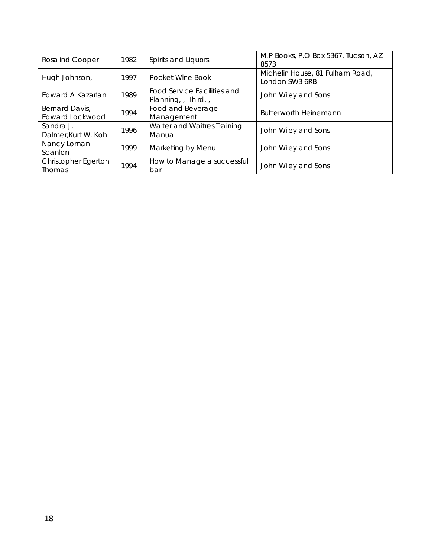| <b>Rosalind Cooper</b>               | 1982 | Spirits and Liquors                                    | M.P Books, P.O Box 5367, Tucson, AZ<br>8573       |
|--------------------------------------|------|--------------------------------------------------------|---------------------------------------------------|
| Hugh Johnson,                        | 1997 | Pocket Wine Book                                       | Michelin House, 81 Fulham Road,<br>London SW3 6RB |
| Edward A Kazarian                    | 1989 | <b>Food Service Facilities and</b><br>Planning, Third, | John Wiley and Sons                               |
| Bernard Davis,<br>Edward Lockwood    | 1994 | Food and Beverage<br>Management                        | <b>Butterworth Heinemann</b>                      |
| Sandra J.<br>Dalmer, Kurt W. Kohl    | 1996 | Waiter and Waitres Training<br>Manual                  | John Wiley and Sons                               |
| Nancy Loman<br>Scanlon               | 1999 | Marketing by Menu                                      | John Wiley and Sons                               |
| Christopher Egerton<br><b>Thomas</b> | 1994 | How to Manage a successful<br>bar                      | John Wiley and Sons                               |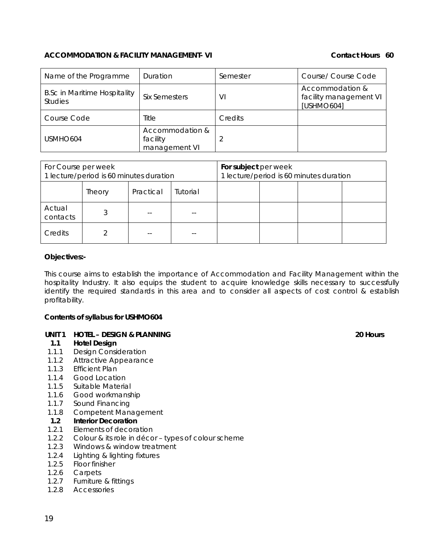#### **ACCOMMODATION & FACILITY MANAGEMENT- VI Contact Hours 60**

| Name of the Programme                                 | Duration                                     | Semester | Course/ Course Code                                     |
|-------------------------------------------------------|----------------------------------------------|----------|---------------------------------------------------------|
| <b>B.Sc in Maritime Hospitality</b><br><b>Studies</b> | <b>Six Semesters</b>                         | VI       | Accommodation &<br>facility management VI<br>[USHMO604] |
| Course Code                                           | Title                                        | Credits  |                                                         |
| USMHO <sub>604</sub>                                  | Accommodation &<br>facility<br>management VI |          |                                                         |

| For Course per week<br>1 lecture/period is 60 minutes duration |        |           | For subject per week | 1 lecture/period is 60 minutes duration |  |  |
|----------------------------------------------------------------|--------|-----------|----------------------|-----------------------------------------|--|--|
|                                                                | Theory | Practical | Tutorial             |                                         |  |  |
| Actual<br>contacts                                             |        |           |                      |                                         |  |  |
| Credits                                                        |        |           |                      |                                         |  |  |

#### **Objectives:-**

This course aims to establish the importance of Accommodation and Facility Management within the hospitality Industry. It also equips the student to acquire knowledge skills necessary to successfully identify the required standards in this area and to consider all aspects of cost control & establish profitability.

#### **Contents of syllabus for USHMO604**

#### **UNIT 1 HOTEL – DESIGN & PLANNING 20 Hours**

#### **1.1 Hotel Design**

- 1.1.1 Design Consideration
- 1.1.2 Attractive Appearance
- 1.1.3 Efficient Plan
- 1.1.4 Good Location
- 1.1.5 Suitable Material
- 1.1.6 Good workmanship
- 1.1.7 Sound Financing
- 1.1.8 Competent Management

#### **1.2 Interior Decoration**

- 1.2.1 Elements of decoration
- 1.2.2 Colour & its role in décor types of colour scheme
- 1.2.3 Windows & window treatment
- 1.2.4 Lighting & lighting fixtures
- 1.2.5 Floor finisher
- 1.2.6 Carpets
- 1.2.7 Furniture & fittings
- 1.2.8 Accessories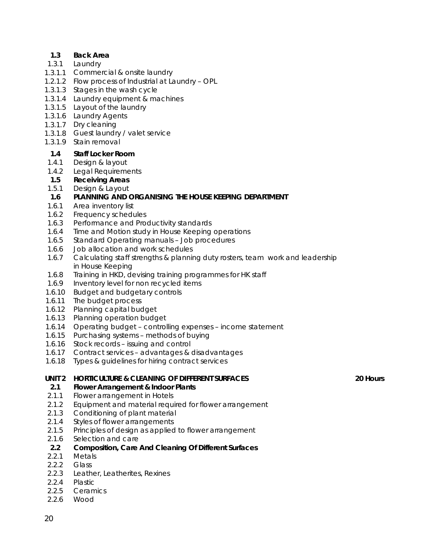#### **1.3 Back Area**

- 1.3.1 Laundry
- 1.3.1.1 Commercial & onsite laundry
- 1.2.1.2 Flow process of Industrial at Laundry OPL
- 1.3.1.3 Stages in the wash cycle
- 1.3.1.4 Laundry equipment & machines
- 1.3.1.5 Layout of the laundry
- 1.3.1.6 Laundry Agents
- 1.3.1.7 Dry cleaning
- 1.3.1.8 Guest laundry / valet service
- 1.3.1.9 Stain removal

#### **1.4 Staff Locker Room**

- 1.4.1 Design & layout
- 1.4.2 Legal Requirements

#### **1.5 Receiving Areas**

- 1.5.1 Design & Layout
- **1.6 PLANNING AND ORGANISING THE HOUSE KEEPING DEPARTMENT**
- 1.6.1 Area inventory list
- 1.6.2 Frequency schedules
- 1.6.3 Performance and Productivity standards
- 1.6.4 Time and Motion study in House Keeping operations
- 1.6.5 Standard Operating manuals Job procedures
- 1.6.6 Job allocation and work schedules
- 1.6.7 Calculating staff strengths & planning duty rosters, team work and leadership in House Keeping
- 1.6.8 Training in HKD, devising training programmes for HK staff
- 1.6.9 Inventory level for non recycled items
- 1.6.10 Budget and budgetary controls
- 1.6.11 The budget process
- 1.6.12 Planning capital budget
- 1.6.13 Planning operation budget
- 1.6.14 Operating budget controlling expenses income statement
- 1.6.15 Purchasing systems methods of buying
- 1.6.16 Stock records issuing and control
- 1.6.17 Contract services advantages & disadvantages
- 1.6.18 Types & guidelines for hiring contract services

#### **UNIT 2 HORTICULTURE & CLEANING OF DIFFERENT SURFACES 20 Hours**

#### **2.1 Flower Arrangement & Indoor Plants**

- 2.1.1 Flower arrangement in Hotels
- 2.1.2 Equipment and material required for flower arrangement
- 2.1.3 Conditioning of plant material
- 2.1.4 Styles of flower arrangements
- 2.1.5 Principles of design as applied to flower arrangement
- 2.1.6 Selection and care
- **2.2 Composition, Care And Cleaning Of Different Surfaces**
- 2.2.1 Metals
- 2.2.2 Glass
- 2.2.3 Leather, Leatherites, Rexines
- 2.2.4 Plastic
- 2.2.5 Ceramics
- 2.2.6 Wood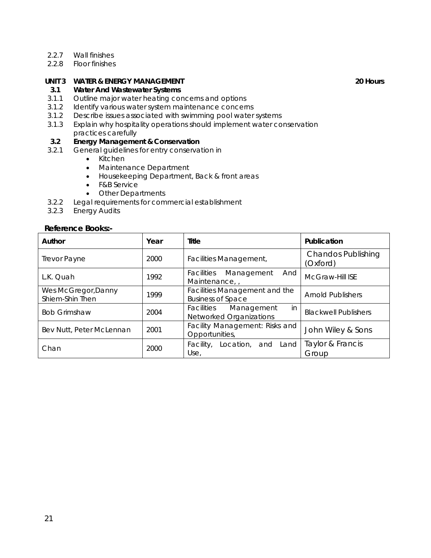- 2.2.7 Wall finishes
- 2.2.8 Floor finishes

## **UNIT 3 WATER & ENERGY MANAGEMENT 20 HOURS AND RESIDENT ASSAULT ASSAULT AND RESIDENT ASSAULT ASSAULT ASSAULT ASSAULT ASSAULT ASSAULT ASSAULT ASSAULT ASSAULT ASSAULT ASSAULT ASSAULT ASSAULT ASSAULT ASSAULT ASSAULT ASSAULT A**

#### **3.1 Water And Wastewater Systems**

- 3.1.1 Outline major water heating concerns and options
- 3.1.2 Identify various water system maintenance concerns
- 3.1.2 Describe issues associated with swimming pool water systems
- 3.1.3 Explain why hospitality operations should implement water conservation practices carefully

### **3.2 Energy Management & Conservation**

- 3.2.1 General guidelines for entry conservation in
	- Kitchen
	- Maintenance Department
	- Housekeeping Department, Back & front areas
	- F&B Service
	- Other Departments
- 3.2.2 Legal requirements for commercial establishment
- 3.2.3 Energy Audits

#### **Reference Books:-**

| Author                                 | Year | Title                                                     | Publication                           |
|----------------------------------------|------|-----------------------------------------------------------|---------------------------------------|
| <b>Trevor Payne</b>                    | 2000 | <b>Facilities Management,</b>                             | <b>Chandos Publishing</b><br>(Oxford) |
| L.K. Quah                              | 1992 | <i>Facilities</i><br>Management<br>And<br>Maintenance,    | <b>McGraw-Hill ISE</b>                |
| Wes McGregor, Danny<br>Shiem-Shin Then | 1999 | Facilities Management and the<br><b>Business of Space</b> | <b>Arnold Publishers</b>              |
| <b>Bob Grimshaw</b>                    | 2004 | Facilities Management<br>in<br>Networked Organizations    | <b>Blackwell Publishers</b>           |
| Bev Nutt, Peter McLennan               | 2001 | Facility Management: Risks and<br>Opportunities,          | John Wiley & Sons                     |
| Chan                                   | 2000 | Facility, Location, and Land<br>Use,                      | Taylor & Francis<br>Group             |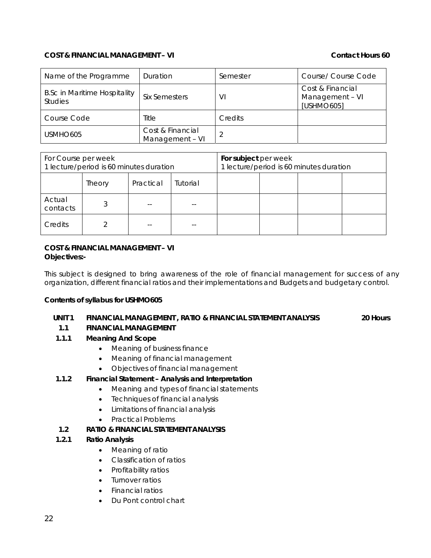#### **COST & FINANCIAL MANAGEMENT – VI Contact Hours 60**

| Name of the Programme                                 | Duration                            | Semester | Course/ Course Code                               |
|-------------------------------------------------------|-------------------------------------|----------|---------------------------------------------------|
| <b>B.Sc in Maritime Hospitality</b><br><b>Studies</b> | <b>Six Semesters</b>                | VI       | Cost & Financial<br>Management - VI<br>[USHMO605] |
| Course Code                                           | Title                               | Credits  |                                                   |
| USMHO <sub>605</sub>                                  | Cost & Financial<br>Management - VI |          |                                                   |

| For Course per week<br>1 lecture/period is 60 minutes duration |        |           | For subject per week | 1 lecture/period is 60 minutes duration |  |  |
|----------------------------------------------------------------|--------|-----------|----------------------|-----------------------------------------|--|--|
|                                                                | Theory | Practical | Tutorial             |                                         |  |  |
| Actual<br>contacts                                             |        |           |                      |                                         |  |  |
| Credits                                                        |        |           |                      |                                         |  |  |

#### **COST & FINANCIAL MANAGEMENT – VI Objectives:-**

This subject is designed to bring awareness of the role of financial management for success of any organization, different financial ratios and their implementations and Budgets and budgetary control.

#### **Contents of syllabus for USHMO605**

#### **UNIT 1 FINANCIAL MANAGEMENT , RATIO & FINANCIAL STATEMENT ANALYSIS 20 Hours**

### **1.1 FINANCIAL MANAGEMENT**

- **1.1.1 Meaning And Scope** 
	- Meaning of business finance
	- Meaning of financial management
	- Objectives of financial management

### **1.1.2 Financial Statement – Analysis and Interpretation**

- Meaning and types of financial statements
- Techniques of financial analysis
- Limitations of financial analysis
- Practical Problems

### **1.2 RATIO & FINANCIAL STATEMENT ANALYSIS**

### **1.2.1 Ratio Analysis**

- Meaning of ratio
- Classification of ratios
- Profitability ratios
- Turnover ratios
- Financial ratios
- Du Pont control chart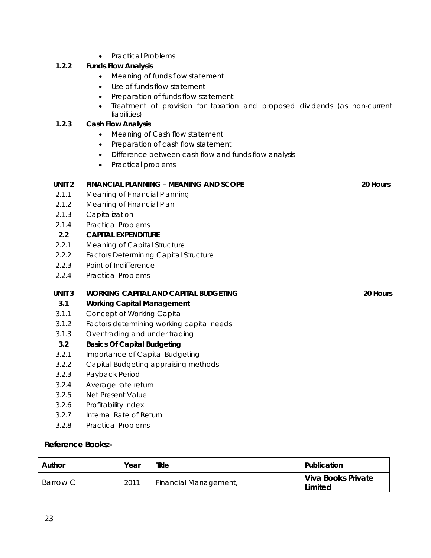• Practical Problems

# **1.2.2 Funds Flow Analysis**

- Meaning of funds flow statement
- Use of funds flow statement
- Preparation of funds flow statement
- Treatment of provision for taxation and proposed dividends (as non-current liabilities)

# **1.2.3 Cash Flow Analysis**

- Meaning of Cash flow statement
- Preparation of cash flow statement
- Difference between cash flow and funds flow analysis
- Practical problems

| UNIT <sub>2</sub> | <b>FINANCIAL PLANNING - MEANING AND SCOPE</b>                   | 20 Hours |
|-------------------|-----------------------------------------------------------------|----------|
| 2.1.1             | Meaning of Financial Planning                                   |          |
| 2.1.2             | Meaning of Financial Plan                                       |          |
| 2.1.3             | Capitalization                                                  |          |
| 2.1.4             | <b>Practical Problems</b>                                       |          |
| 2.2               | <b>CAPITAL EXPENDITURE</b>                                      |          |
| 2.2.1             | Meaning of Capital Structure                                    |          |
| 2.2.2             | <b>Factors Determining Capital Structure</b>                    |          |
| 2.2.3             | Point of Indifference                                           |          |
| 2.2.4             | <b>Practical Problems</b>                                       |          |
|                   |                                                                 |          |
| UNIT <sub>3</sub> | <b>WORKING CAPITAL AND CAPITAL BUDGETING</b>                    | 20 Hours |
| 3.1               |                                                                 |          |
| 3.1.1             | <b>Working Capital Management</b><br>Concept of Working Capital |          |
| 3.1.2             | Factors determining working capital needs                       |          |
| 3.1.3             | Over trading and under trading                                  |          |
| 3.2               | <b>Basics Of Capital Budgeting</b>                              |          |
| 3.2.1             | Importance of Capital Budgeting                                 |          |
| 3.2.2             | Capital Budgeting appraising methods                            |          |
| 3.2.3             | Payback Period                                                  |          |
| 3.2.4             | Average rate return                                             |          |
| 3.2.5             | Net Present Value                                               |          |

- 3.2.6 Profitability Index
- 3.2.7 Internal Rate of Return
- 3.2.8 Practical Problems

### **Reference Books:-**

| Author   | Year | Title                        | Publication                   |
|----------|------|------------------------------|-------------------------------|
| Barrow C | 2011 | <b>Financial Management,</b> | Viva Books Private<br>Limited |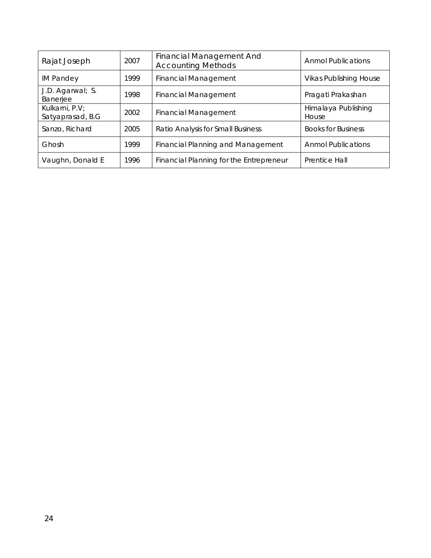| Rajat Joseph                        | 2007 | Financial Management And<br><b>Accounting Methods</b> | <b>Anmol Publications</b>     |
|-------------------------------------|------|-------------------------------------------------------|-------------------------------|
| <b>IM Pandey</b>                    | 1999 | <b>Financial Management</b>                           | <b>Vikas Publishing House</b> |
| J.D. Agarwal; S.<br>Banerjee        | 1998 | Financial Management                                  | Pragati Prakashan             |
| Kulkarni, P.V;<br>Satyaprasad, B.G. | 2002 | <b>Financial Management</b>                           | Himalaya Publishing<br>House  |
| Sanzo, Richard                      | 2005 | Ratio Analysis for Small Business                     | <b>Books for Business</b>     |
| Ghosh                               | 1999 | <b>Financial Planning and Management</b>              | <b>Anmol Publications</b>     |
| Vaughn, Donald E                    | 1996 | Financial Planning for the Entrepreneur               | Prentice Hall                 |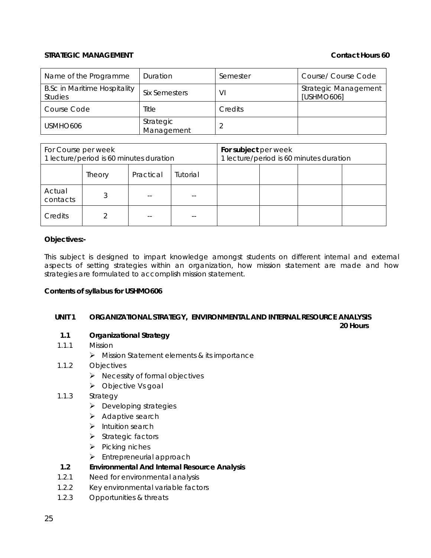#### **STRATEGIC MANAGEMENT CONTACT CONTACT CONTACT AND CONTACT HOURS 60**

| Name of the Programme                                 | Duration                | Semester | Course/ Course Code                |
|-------------------------------------------------------|-------------------------|----------|------------------------------------|
| <b>B.Sc in Maritime Hospitality</b><br><b>Studies</b> | <b>Six Semesters</b>    | VI       | Strategic Management<br>[USHMO606] |
| Course Code                                           | Title                   | Credits  |                                    |
| USMHO <sub>606</sub>                                  | Strategic<br>Management |          |                                    |

| For Course per week<br>1 lecture/period is 60 minutes duration |                                 |  | For subject per week | 1 lecture/period is 60 minutes duration |  |  |
|----------------------------------------------------------------|---------------------------------|--|----------------------|-----------------------------------------|--|--|
|                                                                | Practical<br>Tutorial<br>Theory |  |                      |                                         |  |  |
| Actual<br>contacts                                             |                                 |  |                      |                                         |  |  |
| Credits                                                        |                                 |  |                      |                                         |  |  |

#### **Objectives:-**

This subject is designed to impart knowledge amongst students on different internal and external aspects of setting strategies within an organization, how mission statement are made and how strategies are formulated to accomplish mission statement.

#### **Contents of syllabus for USHMO606**

#### **UNIT 1 ORGANIZATIONAL STRATEGY, ENVIRONMENTAL AND INTERNAL RESOURCE ANALYSIS 20 Hours 20 Hours**

### **1.1 Organizational Strategy**

#### 1.1.1 Mission

- $\triangleright$  Mission Statement elements & its importance
- 1.1.2 Objectives
	- $\triangleright$  Necessity of formal objectives
	- ¾ Objective Vs goal
- 1.1.3 Strategy
	- $\blacktriangleright$  Developing strategies
	- $\triangleright$  Adaptive search
	- ¾ Intuition search
	- $\triangleright$  Strategic factors
	- $\triangleright$  Picking niches
	- $\blacktriangleright$  Entrepreneurial approach

### **1.2 Environmental And Internal Resource Analysis**

- 1.2.1 Need for environmental analysis
- 1.2.2 Key environmental variable factors
- 1.2.3 Opportunities & threats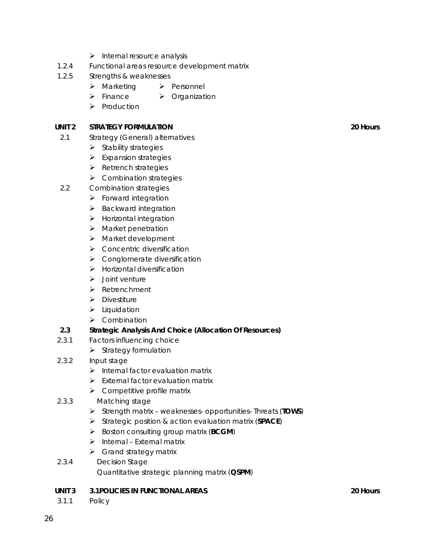- $\triangleright$  Internal resource analysis
- 1.2.4 Functional areas resource development matrix
- 1.2.5 Strengths & weaknesses
	- **EXA** Marketing Personnel
	- **▶ Finance ▶ Organization**
	- $\triangleright$  Production

#### **UNIT 2 STRATEGY FORMULATION** 20 Hours 20 Hours

- 2.1 Strategy (General) alternatives
	- $\triangleright$  Stability strategies
	- $\triangleright$  Expansion strategies
	- $\triangleright$  Retrench strategies
	- $\triangleright$  Combination strategies
- 2.2 Combination strategies
	- $\triangleright$  Forward integration
	- $\triangleright$  Backward integration
	- $\blacktriangleright$  Horizontal integration
	- $\triangleright$  Market penetration
	- ¾ Market development
	- $\triangleright$  Concentric diversification
	- $\triangleright$  Conglomerate diversification
	- $\blacktriangleright$  Horizontal diversification
	- $\blacktriangleright$  Joint venture
	- ¾ Retrenchment
	- $\triangleright$  Divestiture
	- $\blacktriangleright$  Liquidation
	- $\triangleright$  Combination

#### **2.3 Strategic Analysis And Choice (Allocation Of Resources)**

- 2.3.1 Factors influencing choice
	- $\triangleright$  Strategy formulation
- 2.3.2 Input stage
	- $\triangleright$  Internal factor evaluation matrix
	- $\triangleright$  External factor evaluation matrix
	- $\triangleright$  Competitive profile matrix
- 2.3.3 Matching stage
	- ¾ Strength matrix weaknesses- opportunities- Threats (**TOWS**)
	- ¾ Strategic position & action evaluation matrix (**SPACE**)
	- ¾ Boston consulting group matrix (**BCGM**)
	- $\triangleright$  Internal External matrix
	- $\triangleright$  Grand strategy matrix
- 2.3.4 Decision Stage Quantitative strategic planning matrix (**QSPM**)

#### **UNIT 3 3.1POLICIES IN FUNCTIONAL AREAS 20 Hours**

3.1.1 Policy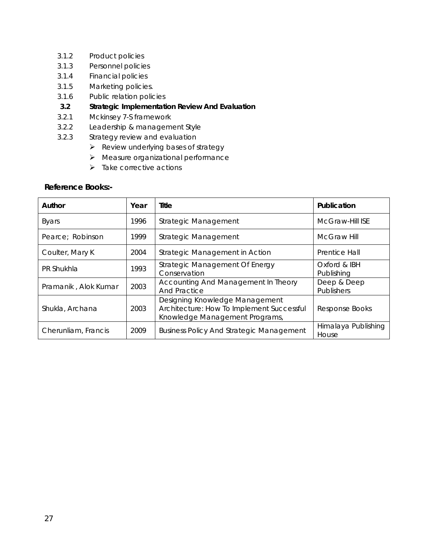- 3.1.2 Product policies
- 3.1.3 Personnel policies
- 3.1.4 Financial policies
- 3.1.5 Marketing policies.
- 3.1.6 Public relation policies
- **3.2 Strategic Implementation Review And Evaluation**
- 3.2.1 Mckinsey 7-S framework
- 3.2.2 Leadership & management Style
- 3.2.3 Strategy review and evaluation
	- $\triangleright$  Review underlying bases of strategy
	- $\blacktriangleright$  Measure organizational performance
	- $\triangleright$  Take corrective actions

#### **Reference Books:-**

| Author               | Year | Title                                                                                                         | Publication                  |
|----------------------|------|---------------------------------------------------------------------------------------------------------------|------------------------------|
| <b>Byars</b>         | 1996 | Strategic Management                                                                                          | McGraw-Hill ISE              |
| Pearce; Robinson     | 1999 | Strategic Management                                                                                          | <b>McGraw Hill</b>           |
| Coulter, Mary K      | 2004 | Strategic Management in Action                                                                                | Prentice Hall                |
| PR Shukhla           | 1993 | Strategic Management Of Energy<br>Conservation                                                                | Oxford & IBH<br>Publishing   |
| Pramanik, Alok Kumar | 2003 | Accounting And Management In Theory<br><b>And Practice</b>                                                    | Deep & Deep<br>Publishers    |
| Shukla, Archana      | 2003 | Designing Knowledge Management<br>Architecture: How To Implement Successful<br>Knowledge Management Programs, | Response Books               |
| Cherunliam, Francis  | 2009 | <b>Business Policy And Strategic Management</b>                                                               | Himalaya Publishing<br>House |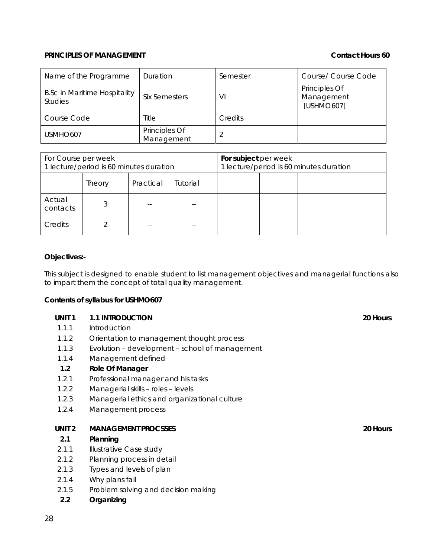#### **PRINCIPLES OF MANAGEMENT** CONTACT **CONTACT CONTACT AND CONTACT CONTACT AND CONTACT HOURS 60**

| Name of the Programme                                 | Duration                    | Semester | Course/ Course Code                       |
|-------------------------------------------------------|-----------------------------|----------|-------------------------------------------|
| <b>B.Sc in Maritime Hospitality</b><br><b>Studies</b> | <b>Six Semesters</b>        | VI       | Principles Of<br>Management<br>[USHMO607] |
| Course Code                                           | Title                       | Credits  |                                           |
| USMHO <sub>607</sub>                                  | Principles Of<br>Management |          |                                           |

| For Course per week<br>1 lecture/period is 60 minutes duration |                                 |  | For subject per week | 1 lecture/period is 60 minutes duration |  |  |
|----------------------------------------------------------------|---------------------------------|--|----------------------|-----------------------------------------|--|--|
|                                                                | Practical<br>Tutorial<br>Theory |  |                      |                                         |  |  |
| Actual<br>contacts                                             |                                 |  | --                   |                                         |  |  |
| Credits                                                        |                                 |  |                      |                                         |  |  |

#### **Objectives:-**

This subject is designed to enable student to list management objectives and managerial functions also to impart them the concept of total quality management.

#### **Contents of syllabus for USHMO607**

| UNIT <sub>1</sub> | <b>1.1 INTRODUCTION</b> | 20 Hours |
|-------------------|-------------------------|----------|
|                   |                         |          |

- 1.1.1 Introduction
- 1.1.2 Orientation to management thought process
- 1.1.3 Evolution development school of management
- 1.1.4 Management defined

#### **1.2 Role Of Manager**

- 1.2.1 Professional manager and his tasks
- 1.2.2 Managerial skills roles levels
- 1.2.3 Managerial ethics and organizational culture
- 1.2.4 Management process

#### **UNIT 2 MANAGEMENT PROCSSES 20 Hours**

#### **2.1 Planning**

- 2.1.1 **Illustrative Case study**
- 2.1.2 Planning process in detail
- 2.1.3 Types and levels of plan
- 2.1.4 Why plans fail
- 2.1.5 Problem solving and decision making
- **2.2 Organizing**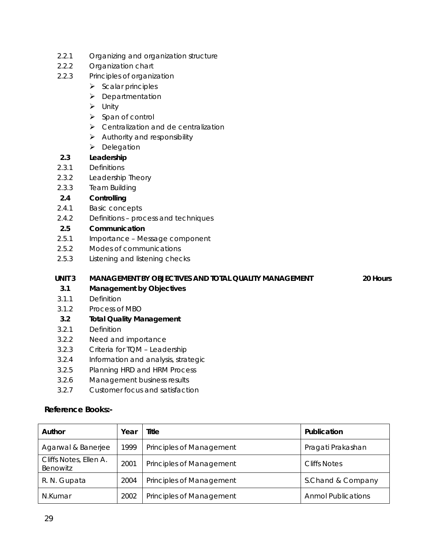- 2.2.1 Organizing and organization structure
- 2.2.2 Organization chart
- 2.2.3 Principles of organization
	- $\triangleright$  Scalar principles
	- ¾ Departmentation
	- $\triangleright$  Unity
	- $\triangleright$  Span of control
	- $\triangleright$  Centralization and de centralization
	- $\blacktriangleright$  Authority and responsibility
	- ¾ Delegation

## **2.3 Leadership**

- 2.3.1 Definitions
- 2.3.2 Leadership Theory
- 2.3.3 Team Building

### **2.4 Controlling**

- 2.4.1 Basic concepts
- 2.4.2 Definitions process and techniques

# **2.5 Communication**

- 2.5.1 Importance Message component
- 2.5.2 Modes of communications
- 2.5.3 Listening and listening checks

# **UNIT 3 MANAGEMENT BY OBJECTIVES AND TOTAL QUALITY MANAGEMENT 20 Hours**

# **3.1 Management by Objectives**

- 3.1.1 Definition
- 3.1.2 Process of MBO
- **3.2 Total Quality Management**
- 3.2.1 Definition
- 3.2.2 Need and importance
- 3.2.3 Criteria for TQM Leadership
- 3.2.4 Information and analysis, strategic
- 3.2.5 Planning HRD and HRM Process
- 3.2.6 Management business results
- 3.2.7 Customer focus and satisfaction

### **Reference Books:-**

| Author                             | Year | Title                           | Publication               |
|------------------------------------|------|---------------------------------|---------------------------|
| Agarwal & Banerjee                 | 1999 | <b>Principles of Management</b> | Pragati Prakashan         |
| Cliffs Notes, Ellen A.<br>Benowitz | 2001 | Principles of Management        | <b>Cliffs Notes</b>       |
| R. N. Gupata                       | 2004 | Principles of Management        | S.Chand & Company         |
| N.Kumar                            | 2002 | <b>Principles of Management</b> | <b>Anmol Publications</b> |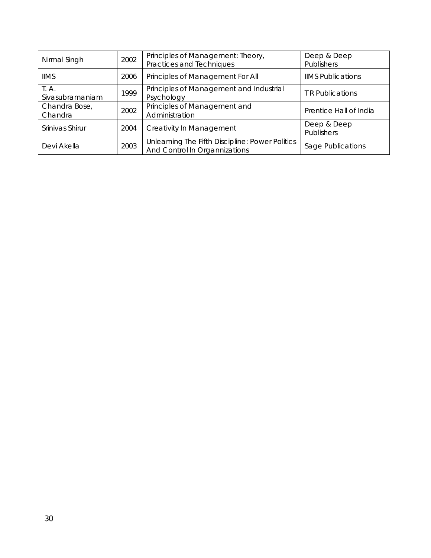| Nirmal Singh             | 2002 | Principles of Management: Theory,<br>Practices and Techniques                    | Deep & Deep<br><b>Publishers</b> |
|--------------------------|------|----------------------------------------------------------------------------------|----------------------------------|
| <b>IIMS</b>              | 2006 | Principles of Management For All                                                 | <b>IIMS Publications</b>         |
| T. A.<br>Sivasubramaniam | 1999 | Principles of Management and Industrial<br>Psychology                            | <b>TR Publications</b>           |
| Chandra Bose,<br>Chandra | 2002 | Principles of Management and<br>Administration                                   | Prentice Hall of India           |
| Srinivas Shirur          | 2004 | Creativity In Management                                                         | Deep & Deep<br><b>Publishers</b> |
| 2003<br>Devi Akella      |      | Unlearning The Fifth Discipline: Power Politics<br>And Control In Organnizations | Sage Publications                |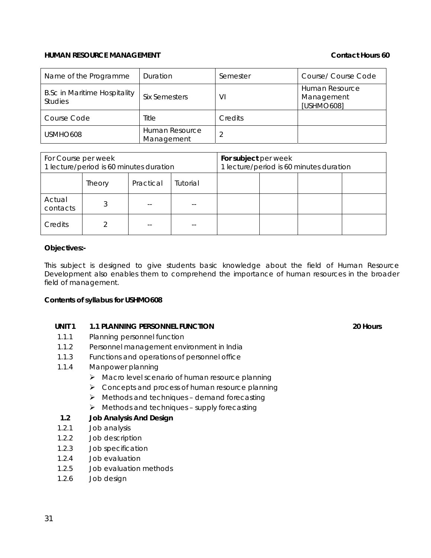#### **HUMAN RESOURCE MANAGEMENT CONTACT CONTACT CONTACT CONTACT HOURS 60**

| Name of the Programme                                 | Duration                     | Semester | Course/ Course Code                        |
|-------------------------------------------------------|------------------------------|----------|--------------------------------------------|
| <b>B.Sc in Maritime Hospitality</b><br><b>Studies</b> | Six Semesters                | VI       | Human Resource<br>Management<br>[USHMO608] |
| Course Code                                           | Title                        | Credits  |                                            |
| USMHO608                                              | Human Resource<br>Management |          |                                            |

| For Course per week<br>1 lecture/period is 60 minutes duration |                                 |  | For subject per week | 1 lecture/period is 60 minutes duration |  |  |
|----------------------------------------------------------------|---------------------------------|--|----------------------|-----------------------------------------|--|--|
|                                                                | Tutorial<br>Practical<br>Theory |  |                      |                                         |  |  |
| Actual<br>contacts                                             |                                 |  |                      |                                         |  |  |
| Credits                                                        |                                 |  |                      |                                         |  |  |

#### **Objectives:-**

This subject is designed to give students basic knowledge about the field of Human Resource Development also enables them to comprehend the importance of human resources in the broader field of management.

#### **Contents of syllabus for USHMO608**

#### **UNIT 1 1.1 PLANNING PERSONNEL FUNCTION 20 Hours**

- 1.1.1 Planning personnel function
- 1.1.2 Personnel management environment in India
- 1.1.3 Functions and operations of personnel office
- 1.1.4 Manpower planning
	- $\triangleright$  Macro level scenario of human resource planning
	- $\triangleright$  Concepts and process of human resource planning
	- $\triangleright$  Methods and techniques demand forecasting
	- $\triangleright$  Methods and techniques supply forecasting

#### **1.2 Job Analysis And Design**

- 1.2.1 Job analysis
- 1.2.2 Job description
- 1.2.3 Job specification
- 1.2.4 Job evaluation
- 1.2.5 Job evaluation methods
- 1.2.6 Job design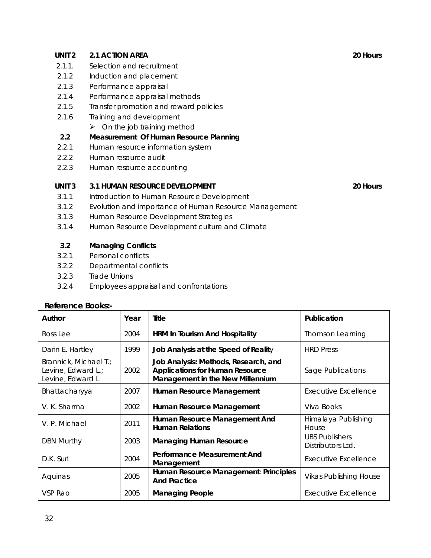## **UNIT 2 2.1 ACTION AREA** 20 Hours

- 2.1.1. Selection and recruitment
- 2.1.2 Induction and placement
- 2.1.3 Performance appraisal
- 2.1.4 Performance appraisal methods
- 2.1.5 Transfer promotion and reward policies
- 2.1.6 Training and development
	- $\triangleright$  On the job training method
- **2.2 Measurement Of Human Resource Planning**
- 2.2.1 Human resource information system
- 2.2.2 Human resource audit
- 2.2.3 Human resource accounting

#### **UNIT 3 3.1 HUMAN RESOURCE DEVELOPMENT 120 HOURS** 20 Hours

- 3.1.1 Introduction to Human Resource Development
- 3.1.2 Evolution and importance of Human Resource Management
- 3.1.3 Human Resource Development Strategies
- 3.1.4 Human Resource Development culture and Climate

### **3.2 Managing Conflicts**

- 3.2.1 Personal conflicts
- 3.2.2 Departmental conflicts
- 3.2.3 Trade Unions
- 3.2.4 Employees appraisal and confrontations

#### **Reference Books:-**

| Author                                                          | Year | Title                                                                                                              | Publication                                |
|-----------------------------------------------------------------|------|--------------------------------------------------------------------------------------------------------------------|--------------------------------------------|
| Ross Lee                                                        | 2004 | <b>HRM In Tourism And Hospitality</b>                                                                              | <b>Thomson Learning</b>                    |
| Darin E. Hartley                                                | 1999 | Job Analysis at the Speed of Reality                                                                               | <b>HRD</b> Press                           |
| Brannick, Michael T.;<br>Levine, Edward L.;<br>Levine, Edward L | 2002 | Job Analysis: Methods, Research, and<br><b>Applications for Human Resource</b><br>Management in the New Millennium | Sage Publications                          |
| Bhattacharyya                                                   | 2007 | Human Resource Management                                                                                          | Executive Excellence                       |
| V. K. Sharma                                                    | 2002 | Human Resource Management                                                                                          | Viva Books                                 |
| V. P. Michael                                                   | 2011 | Human Resource Management And<br><b>Human Relations</b>                                                            | Himalaya Publishing<br>House               |
| <b>DBN Murthy</b>                                               | 2003 | <b>Managing Human Resource</b>                                                                                     | <b>UBS Publishers</b><br>Distributors Ltd. |
| D.K. Suri                                                       | 2004 | Performance Measurement And<br>Management                                                                          | <b>Executive Excellence</b>                |
| Aquinas                                                         | 2005 | Human Resource Management: Principles<br><b>And Practice</b>                                                       | <b>Vikas Publishing House</b>              |
| VSP Rao                                                         | 2005 | <b>Managing People</b>                                                                                             | <b>Executive Excellence</b>                |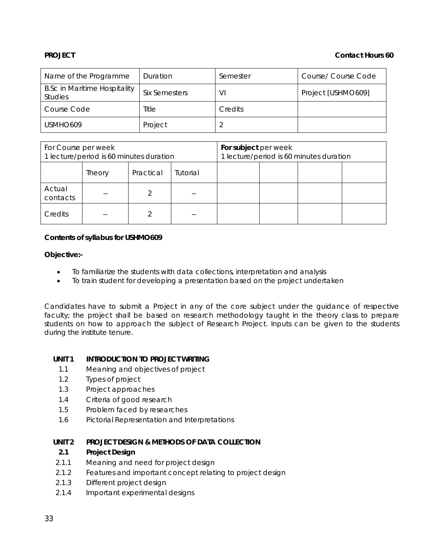#### **PROJECT CONTACT PROJECT CONTACT CONTACT CONTACT CONTACT CONTACT CONTACT CONTACT CONTACT CONTACT CONTACT CONTACT CONTACT CONTACT CONTACT CONTACT CONTACT CONTACT CONTACT CONTA**

| Name of the Programme                                 | Duration      | Semester | Course/ Course Code |
|-------------------------------------------------------|---------------|----------|---------------------|
| <b>B.Sc in Maritime Hospitality</b><br><b>Studies</b> | Six Semesters | VI       | Project [USHMO609]  |
| Course Code                                           | Title         | Credits  |                     |
| USMHO <sub>609</sub>                                  | Project       |          |                     |

| For Course per week<br>1 lecture/period is 60 minutes duration |        |           | For subject per week | 1 lecture/period is 60 minutes duration |  |  |
|----------------------------------------------------------------|--------|-----------|----------------------|-----------------------------------------|--|--|
|                                                                | Theory | Practical | Tutorial             |                                         |  |  |
| Actual<br>contacts                                             |        |           | --                   |                                         |  |  |
| Credits                                                        |        |           | $- -$                |                                         |  |  |

#### **Contents of syllabus for USHMO609**

#### **Objective:-**

- To familiarize the students with data collections, interpretation and analysis
- To train student for developing a presentation based on the project undertaken

Candidates have to submit a Project in any of the core subject under the guidance of respective faculty; the project shall be based on research methodology taught in the theory class to prepare students on how to approach the subject of Research Project. Inputs can be given to the students during the institute tenure.

### **UNIT 1 INTRODUCTION TO PROJECT WRITING**

- 1.1 Meaning and objectives of project
- 1.2 Types of project
- 1.3 Project approaches
- 1.4 Criteria of good research
- 1.5 Problem faced by researches
- 1.6 Pictorial Representation and Interpretations

### **UNIT 2 PROJECT DESIGN & METHODS OF DATA COLLECTION**

### **2.1 Project Design**

- 2.1.1 Meaning and need for project design
- 2.1.2 Features and important concept relating to project design
- 2.1.3 Different project design
- 2.1.4 Important experimental designs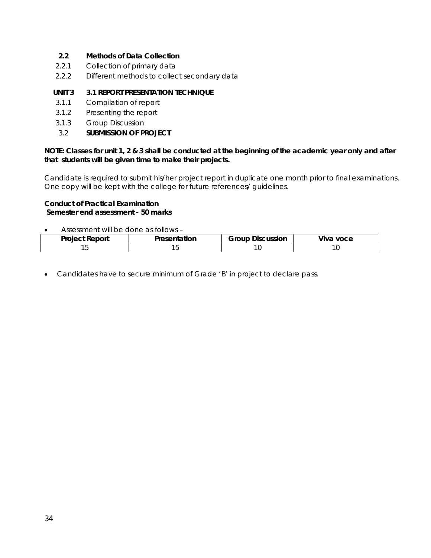## **2.2 Methods of Data Collection**

- 2.2.1 Collection of primary data
- 2.2.2 Different methods to collect secondary data

# **UNIT 3 3.1 REPORT PRESENTATION TECHNIQUE**

- 3.1.1 Compilation of report
- 3.1.2 Presenting the report
- 3.1.3 Group Discussion
- 3.2 **SUBMISSION OF PROJECT**

#### **NOTE: Classes for unit 1, 2 & 3 shall be conducted at the beginning of the academic year only and after that students will be given time to make their projects.**

Candidate is required to submit his/her project report in duplicate one month prior to final examinations. One copy will be kept with the college for future references/ guidelines.

#### **Conduct of Practical Examination Semester end assessment - 50 marks**

• Assessment will be done as follows –

| <b>Project Report</b> | ation | Group<br>cussion<br>ЛC | <br>voce<br>viva |
|-----------------------|-------|------------------------|------------------|
|                       | È     | ◡                      |                  |

• Candidates have to secure minimum of Grade 'B' in project to declare pass.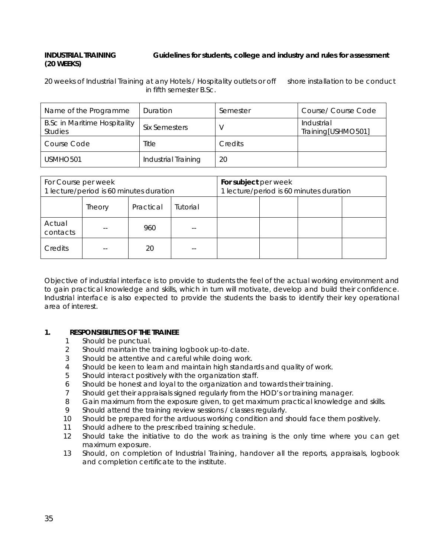# **INDUSTRIAL TRAINING Guidelines for students, college and industry and rules for assessment (20 WEEKS)**

20 weeks of Industrial Training at any Hotels / Hospitality outlets or off shore installation to be conduct in fifth semester B.Sc.

| Name of the Programme                                 | Duration            | Semester       | Course/ Course Code              |
|-------------------------------------------------------|---------------------|----------------|----------------------------------|
| <b>B.Sc in Maritime Hospitality</b><br><b>Studies</b> | Six Semesters       |                | Industrial<br>Training[USHMO501] |
| Course Code                                           | Title               | <b>Credits</b> |                                  |
| USMHO <sub>501</sub>                                  | Industrial Training | 20             |                                  |

| For Course per week<br>1 lecture/period is 60 minutes duration |        |           | For subject per week<br>1 lecture/period is 60 minutes duration |  |  |  |  |
|----------------------------------------------------------------|--------|-----------|-----------------------------------------------------------------|--|--|--|--|
|                                                                | Theory | Practical | Tutorial                                                        |  |  |  |  |
| Actual<br>contacts                                             |        | 960       |                                                                 |  |  |  |  |
| Credits                                                        |        | 20        |                                                                 |  |  |  |  |

Objective of industrial interface is to provide to students the feel of the actual working environment and to gain practical knowledge and skills, which in turn will motivate, develop and build their confidence. Industrial interface is also expected to provide the students the basis to identify their key operational area of interest.

### **1. RESPONSIBILITIES OF THE TRAINEE**

- 1 Should be punctual.
- 2 Should maintain the training logbook up-to-date.
- 3 Should be attentive and careful while doing work.
- 4 Should be keen to learn and maintain high standards and quality of work.
- 5 Should interact positively with the organization staff.
- 6 Should be honest and loyal to the organization and towards their training.
- 7 Should get their appraisals signed regularly from the HOD's or training manager.
- 8 Gain maximum from the exposure given, to get maximum practical knowledge and skills.
- 9 Should attend the training review sessions / classes regularly.
- 10 Should be prepared for the arduous working condition and should face them positively.
- 11 Should adhere to the prescribed training schedule.
- 12 Should take the initiative to do the work as training is the only time where you can get maximum exposure.
- 13 Should, on completion of Industrial Training, handover all the reports, appraisals, logbook and completion certificate to the institute.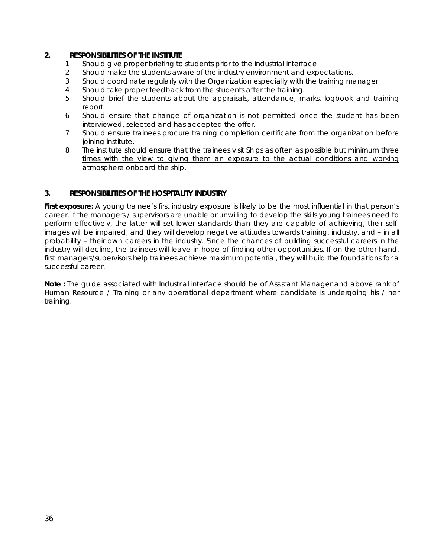#### **2. RESPONSIBILITIES OF THE INSTITUTE**

- 1 Should give proper briefing to students prior to the industrial interface
- 2 Should make the students aware of the industry environment and expectations.
- 3 Should coordinate regularly with the Organization especially with the training manager.
- 4 Should take proper feedback from the students after the training.
- 5 Should brief the students about the appraisals, attendance, marks, logbook and training report.
- 6 Should ensure that change of organization is not permitted once the student has been interviewed, selected and has accepted the offer.
- 7 Should ensure trainees procure training completion certificate from the organization before joining institute.
- 8 The institute should ensure that the trainees visit Ships as often as possible but minimum three times with the view to giving them an exposure to the actual conditions and working atmosphere onboard the ship.

#### **3. RESPONSIBILITIES OF THE HOSPITALITY INDUSTRY**

**First exposure:** A young trainee's first industry exposure is likely to be the most influential in that person's career. If the managers / supervisors are unable or unwilling to develop the skills young trainees need to perform effectively, the latter will set lower standards than they are capable of achieving, their selfimages will be impaired, and they will develop negative attitudes towards training, industry, and – in all probability – their own careers in the industry. Since the chances of building successful careers in the industry will decline, the trainees will leave in hope of finding other opportunities. If on the other hand, first managers/supervisors help trainees achieve maximum potential, they will build the foundations for a successful career.

**Note :** The guide associated with Industrial interface should be of Assistant Manager and above rank of Human Resource / Training or any operational department where candidate is undergoing his / her training.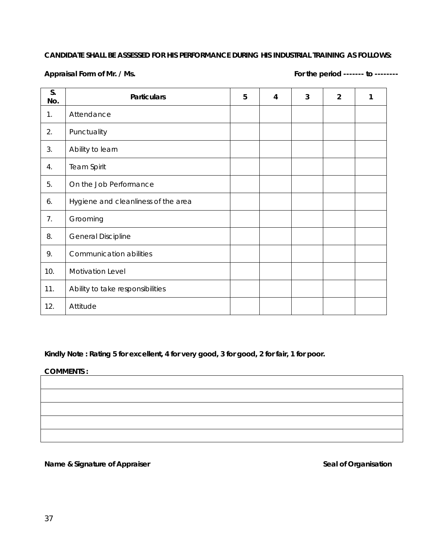### **CANDIDATE SHALL BE ASSESSED FOR HIS PERFORMANCE DURING HIS INDUSTRIAL TRAINING AS FOLLOWS:**

Appraisal Form of Mr. / Ms.

| S.<br>No. | <b>Particulars</b>                  | 5 | 4 | 3 | $\overline{2}$ | 1 |
|-----------|-------------------------------------|---|---|---|----------------|---|
| 1.        | Attendance                          |   |   |   |                |   |
| 2.        | Punctuality                         |   |   |   |                |   |
| 3.        | Ability to learn                    |   |   |   |                |   |
| 4.        | <b>Team Spirit</b>                  |   |   |   |                |   |
| 5.        | On the Job Performance              |   |   |   |                |   |
| 6.        | Hygiene and cleanliness of the area |   |   |   |                |   |
| 7.        | Grooming                            |   |   |   |                |   |
| 8.        | <b>General Discipline</b>           |   |   |   |                |   |
| 9.        | Communication abilities             |   |   |   |                |   |
| 10.       | Motivation Level                    |   |   |   |                |   |
| 11.       | Ability to take responsibilities    |   |   |   |                |   |
| 12.       | Attitude                            |   |   |   |                |   |

**Kindly Note : Rating 5 for excellent, 4 for very good, 3 for good, 2 for fair, 1 for poor.** 

#### **COMMENTS :**

**Name & Signature of Appraiser** *Seal of Organisation* **<b>Seal of Organisation**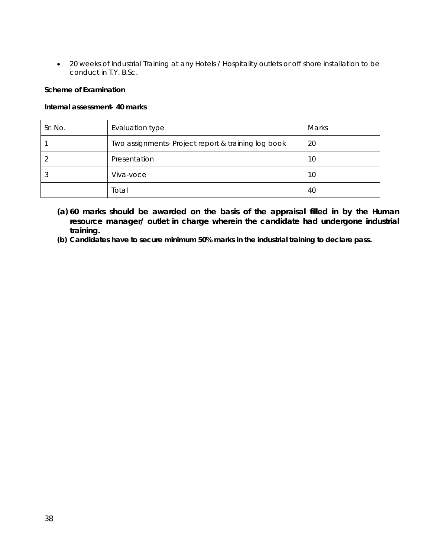• 20 weeks of Industrial Training at any Hotels / Hospitality outlets or off shore installation to be conduct in T.Y. B.Sc.

#### **Scheme of Examination**

#### **Internal assessment- 40 marks**

| Sr. No. | Evaluation type                                     | <b>Marks</b> |
|---------|-----------------------------------------------------|--------------|
|         | Two assignments- Project report & training log book | 20           |
|         | Presentation                                        | 10           |
| w       | Viva-voce                                           | 10           |
|         | Total                                               | 40           |

- **(a) 60 marks should be awarded on the basis of the appraisal filled in by the Human resource manager/ outlet in charge wherein the candidate had undergone industrial training.**
- **(b) Candidates have to secure minimum 50% marks in the industrial training to declare pass.**